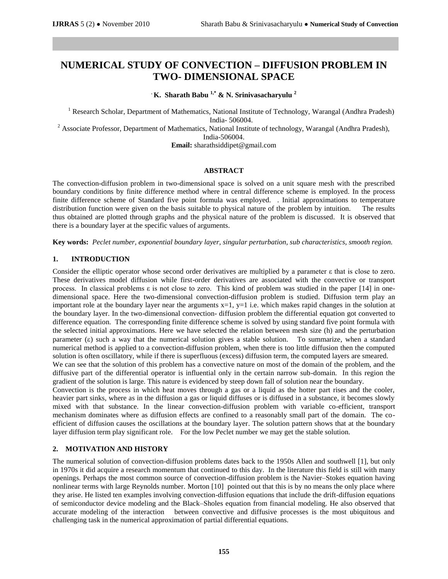# **NUMERICAL STUDY OF CONVECTION – DIFFUSION PROBLEM IN TWO- DIMENSIONAL SPACE**

**. K. Sharath Babu 1,\* & N. Srinivasacharyulu <sup>2</sup>**

<sup>1</sup> Research Scholar, Department of Mathematics, National Institute of Technology, Warangal (Andhra Pradesh) India- 506004.

<sup>2</sup> Associate Professor, Department of Mathematics, National Institute of technology, Warangal (Andhra Pradesh), India-506004.

**Email:** [sharathsiddipet@gmail.com](mailto:sharathsiddipet@gmail.com)

#### **ABSTRACT**

The convection-diffusion problem in two-dimensional space is solved on a unit square mesh with the prescribed boundary conditions by finite difference method where in central difference scheme is employed. In the process finite difference scheme of Standard five point formula was employed. . Initial approximations to temperature distribution function were given on the basis suitable to physical nature of the problem by intuition. The results thus obtained are plotted through graphs and the physical nature of the problem is discussed. It is observed that there is a boundary layer at the specific values of arguments.

**Key words:** *Peclet number, exponential boundary layer, singular perturbation, sub characteristics, smooth region.*

## **1. INTRODUCTION**

Consider the elliptic operator whose second order derivatives are multiplied by a parameter ε that is close to zero. These derivatives model diffusion while first-order derivatives are associated with the convective or transport process. In classical problems ε is not close to zero. This kind of problem was studied in the paper [14] in onedimensional space. Here the two-dimensional convection-diffusion problem is studied. Diffusion term play an important role at the boundary layer near the arguments  $x=1$ ,  $y=1$  i.e. which makes rapid changes in the solution at the boundary layer. In the two-dimensional convection- diffusion problem the differential equation got converted to difference equation. The corresponding finite difference scheme is solved by using standard five point formula with the selected initial approximations. Here we have selected the relation between mesh size (h) and the perturbation parameter  $(\epsilon)$  such a way that the numerical solution gives a stable solution. To summarize, when a standard numerical method is applied to a convection-diffusion problem, when there is too little diffusion then the computed solution is often oscillatory, while if there is superfluous (excess) diffusion term, the computed layers are smeared.

We can see that the solution of this problem has a convective nature on most of the domain of the problem, and the diffusive part of the differential operator is influential only in the certain narrow sub-domain. In this region the gradient of the solution is large. This nature is evidenced by steep down fall of solution near the boundary.

Convection is the process in which heat moves through a gas or a liquid as the hotter part rises and the cooler, heavier part sinks, where as in the diffusion a gas or liquid diffuses or is diffused in a substance, it becomes slowly mixed with that substance. In the linear convection-diffusion problem with variable co-efficient, transport mechanism dominates where as diffusion effects are confined to a reasonably small part of the domain. The coefficient of diffusion causes the oscillations at the boundary layer. The solution pattern shows that at the boundary layer diffusion term play significant role. For the low Peclet number we may get the stable solution.

## **2. MOTIVATION AND HISTORY**

The numerical solution of convection-diffusion problems dates back to the 1950s Allen and southwell [1], but only in 1970s it did acquire a research momentum that continued to this day. In the literature this field is still with many openings. Perhaps the most common source of convection-diffusion problem is the Navier–Stokes equation having nonlinear terms with large Reynolds number. Morton [10] pointed out that this is by no means the only place where they arise. He listed ten examples involving convection-diffusion equations that include the drift-diffusion equations of semiconductor device modeling and the Black–Sholes equation from financial modeling. He also observed that accurate modeling of the interaction between convective and diffusive processes is the most ubiquitous and challenging task in the numerical approximation of partial differential equations.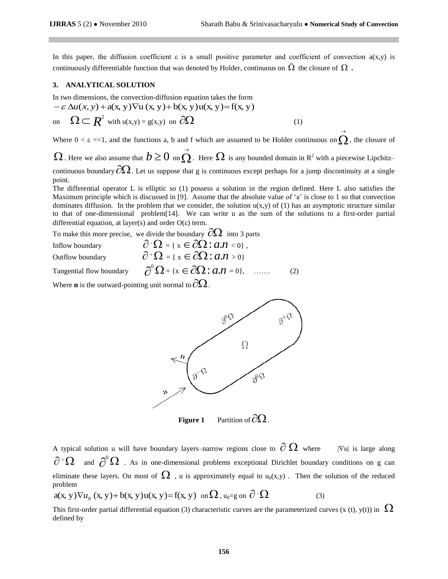$\rightarrow$ 

In this paper, the diffusion coefficient  $\varepsilon$  is a small positive parameter and coefficient of convection  $a(x,y)$  is continuously differentiable function that was denoted by Holder, continuous on  $\bar{\Omega}$  the closure of  $\Omega$  .

#### **3. ANALYTICAL SOLUTION**

In two dimensions, the convection-diffusion equation takes the form

3. ANALYTICAL SOLUTION  
\nIn two dimensions, the convection-diffusion equation takes the form  
\n
$$
-\varepsilon \Delta u(x, y) + a(x, y) \nabla u(x, y) + b(x, y) u(x, y) = f(x, y)
$$
\non
$$
\Omega \subset \mathbb{R}^2 \text{ with } u(x, y) = g(x, y) \text{ on } \partial\Omega
$$
\n(1)

Where  $0 < \varepsilon < 1$ , and the functions a, b and f which are assumed to be Holder continuous on  $\Omega$ , the closure of

 $\Omega$  . Here we also assume that  $b \geq 0\,$  on  $\stackrel{\rightarrow}{\Omega}$ . Here  $\Omega$  is any bounded domain in  $\mathbb{R}^2$  with a piecewise Lipchitz– continuous boundary  $\partial\Omega$ . Let us suppose that g is continuous except perhaps for a jump discontinuity at a single point.

The differential operator L is elliptic so (1) possess a solution in the region defined. Here L also satisfies the Maximum principle which is discussed in [9]. Assume that the absolute value of 'a' is close to 1 so that convection dominates diffusion. In the problem that we consider, the solution  $u(x,y)$  of (1) has an asymptotic structure similar to that of one-dimensional problem[14]. We can write u as the sum of the solutions to a first-order partial differential equation, at layer(s) and order  $O(\varepsilon)$  term.

To make this more precise, we divide the boundary  $\partial\Omega$  into 3 parts

Inflow boundary Outflow boundary

$$
\partial^{\cdot} \Omega = \{ x \in \partial \Omega : a.n < 0 \},\
$$
  

$$
\partial^{\cdot} \Omega = \{ x \in \partial \Omega : a.n > 0 \}
$$

Tangential flow boundary

$$
\partial^{\alpha}\Omega = \{ x \in \partial\Omega : a.n > 0 \}
$$
  

$$
\partial^{\alpha}\Omega = \{ x \in \partial\Omega : a.n = 0 \}, \quad ...... \tag{2}
$$

Where **n** is the outward-pointing unit normal to  $\partial\Omega$  .





**Figure 1** Partition of  $\partial\Omega$ .

A typical solution u will have boundary layers–narrow regions close to  $\,\partial\,\Omega\,$  $|\nabla u|$  is large along  $\partial^{\scriptscriptstyle +}\Omega$  and  $\partial^{\scriptscriptstyle 0}\Omega$  . As in one-dimensional problems exceptional Dirichlet boundary conditions on g can eliminate these layers. On most of  $\Omega$ , u is approximately equal to  $u_0(x,y)$ . Then the solution of the reduced problem problem<br>a(x, y) $\nabla u_0$  (x, y) + b(x, y) u(x, y) = f(x, y) on  $\Omega$ , u<sub>0</sub>=g on  $\partial^2 \Omega$  (3)

This first-order partial differential equation (3) characteristic curves are the parameterized curves (x (t), y(t)) in  $\,\Omega$ defined by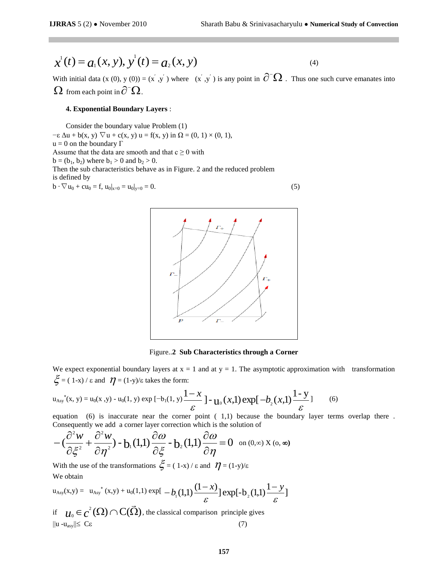$$
\chi^1(t) = a_1(x, y), \, y^1(t) = a_2(x, y) \tag{4}
$$

With initial data  $(x(0), y(0)) = (x', y')$  where  $(x', y')$  is any point in  $\partial^-\Omega$ . Thus one such curve emanates into  $\Omega$  from each point in  $\partial^-\Omega$ .

#### **4. Exponential Boundary Layers** :

Consider the boundary value Problem (1)  $-\varepsilon \Delta u + b(x, y) \nabla u + c(x, y) u = f(x, y)$  in  $\Omega = (0, 1) \times (0, 1)$ ,  $u = 0$  on the boundary  $\Gamma$ Assume that the data are smooth and that  $c \ge 0$  with  $b = (b_1, b_2)$  where  $b_1 > 0$  and  $b_2 > 0$ . Then the sub characteristics behave as in Figure. 2 and the reduced problem is defined by  $b \cdot \nabla u_0 + cu_0 = f, u_0|_{x=0} = u_0|_{y=0} = 0.$  (5)



Figure..**2 Sub Characteristics through a Corner**

We expect exponential boundary layers at  $x = 1$  and at  $y = 1$ . The asymptotic approximation with transformation  $\xi = (1-x)/\varepsilon$  and  $\eta = (1-y)/\varepsilon$  takes the form:

$$
u_{\text{Asy}}^{*}(x, y) = u_{0}(x, y) - u_{0}(1, y) \exp\left[-b_{1}(1, y)\frac{1 - x}{\varepsilon}\right] - u_{0}(x, 1) \exp\left[-b_{2}(x, 1)\frac{1 - y}{\varepsilon}\right] \tag{6}
$$

equation (6) is inaccurate near the corner point ( 1,1) because the boundary layer terms overlap there . Consequently we add a corner layer correction which is the solution of

$$
-(\frac{\partial^2 w}{\partial \xi^2} + \frac{\partial^2 w}{\partial \eta^2}) - b_1(1,1) \frac{\partial \omega}{\partial \xi} - b_2(1,1) \frac{\partial \omega}{\partial \eta} = 0 \text{ on } (0,\infty) \text{ and } (0,\infty)
$$

With the use of the transformations  $\zeta = (1-x)/\varepsilon$  and  $\eta = (1-y)/\varepsilon$ We obtain

$$
u_{\text{Asy}}(x,y) = u_{\text{Asy}}^{*}(x,y) + u_{0}(1,1) \exp[-b_{1}(1,1))\frac{(1-x)}{\varepsilon}] \exp[-b_{2}(1,1))\frac{1-y}{\varepsilon}]
$$

if  $u_0 \in c^2(\Omega) \cap C(\overline{\Omega})$  $u_0 \in c^2(\Omega) \cap C(\Omega)$ , the classical comparison principle gives  $||u - u<sub>asy</sub>|| \leq C \varepsilon$  (7)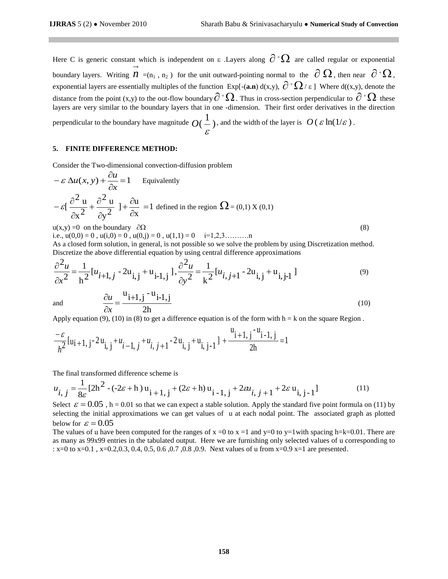Here C is generic constant which is independent on  $\varepsilon$  . Layers along  $\partial^+\Omega$  are called regular or exponential boundary layers. Writing  $n_{[-(n_1, n_2))}$  for the unit outward-pointing normal to the  $\partial \Omega$ , then near  $\partial^* \Omega$ , exponential layers are essentially multiples of the function Exp[-(**a.n**) d(x,y),  $\partial^+ \Omega / \varepsilon$  ] Where d((x,y), denote the distance from the point (x,y) to the out-flow boundary  $\partial^{\dagger} \Omega$ . Thus in cross-section perpendicular to  $\partial^{\dagger} \Omega$  these layers are very similar to the boundary layers that in one -dimension. Their first order derivatives in the direction

perpendicular to the boundary have magnitude  $O(-)$ 1  $O(\frac{1}{\varepsilon})$ , and the width of the layer is  $O(\varepsilon \ln(1/\varepsilon))$ .

# **5. FINITE DIFFERENCE METHOD:**

Consider the Two-dimensional convection-diffusion problem

$$
-\varepsilon \Delta u(x, y) + \frac{\partial u}{\partial x} = 1
$$
 Equivalently  
\n
$$
-\varepsilon \left[ \frac{\partial^2 u}{\partial x^2} + \frac{\partial^2 u}{\partial y^2} \right] + \frac{\partial u}{\partial x} = 1
$$
 defined in the region  $\Omega = (0, 1) X (0, 1)$   
\n
$$
u(x, y) = 0
$$
 on the boundary

on the boundary  $\cos \theta$ 

 $\partial$  $\partial$ *x u*

i.e.,  $u(0,0) = 0$ ,  $u(i,0) = 0$ ,  $u(0,j) = 0$ ,  $u(1,1) = 0$  i=1,2,3………..n

As a closed form solution, in general, is not possible so we solve the problem by using Discretization method. Discretize the above differential equation by using central difference approximations

$$
\frac{\partial^2 u}{\partial x^2} = \frac{1}{h^2} [u_{i+1,j} - 2u_{i,j} + u_{i-1,j}] , \frac{\partial^2 u}{\partial y^2} = \frac{1}{k^2} [u_{i,j+1} - 2u_{i,j} + u_{i,j-1}]
$$
\nand\n
$$
\frac{\partial u}{\partial x} = \frac{u_{i+1,j} - u_{i-1,j}}{\partial y^2}
$$
\n(10)

(10)

and

Apply equation (9), (10) in (8) to get a difference equation is of the form with  $h = k$  on the square Region.

$$
\frac{-\varepsilon}{h^2} [u_{i+1, j} - 2u_{i, j} + u_{i-1, j} + u_{i, j+1} - 2u_{i, j} + u_{i, j-1}] + \frac{u_{i+1, j} - u_{i-1, j}}{2h} = 1
$$

2h

The final transformed difference scheme is

$$
u_{i,j} = \frac{1}{8\varepsilon} [2h^2 - (-2\varepsilon + h) u_{i+1,j} + (2\varepsilon + h) u_{i-1,j} + 2\varepsilon u_{i,j+1} + 2\varepsilon u_{i,j-1}]
$$
 (11)

Select  $\varepsilon = 0.05$ , h = 0.01 so that we can expect a stable solution. Apply the standard five point formula on (11) by selecting the initial approximations we can get values of u at each nodal point. The associated graph as plotted below for  $\varepsilon = 0.05$ 

The values of u have been computed for the ranges of  $x =0$  to  $x =1$  and  $y=0$  to  $y=1$  with spacing h=k=0.01. There are as many as 99x99 entries in the tabulated output. Here we are furnishing only selected values of u corresponding to : x=0 to x=0.1 , x=0.2,0.3, 0.4, 0.5, 0.6 ,0.7 ,0.8 ,0.9. Next values of u from x=0.9 x=1 are presented.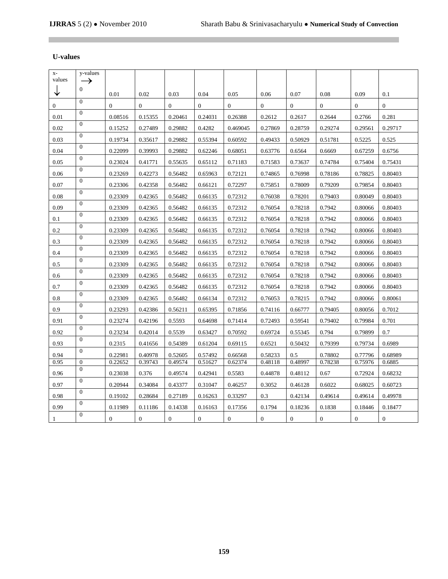# **U-values**

 $\mathbb{R}^n$ 

| $X-$<br>values | y-values                  |              |              |              |              |          |              |                |                  |                |                |
|----------------|---------------------------|--------------|--------------|--------------|--------------|----------|--------------|----------------|------------------|----------------|----------------|
|                | $\rightarrow$<br>$\Omega$ |              |              |              |              |          |              |                |                  |                |                |
|                |                           | 0.01         | 0.02         | 0.03         | 0.04         | 0.05     | 0.06         | 0.07           | 0.08             | 0.09           | 0.1            |
| $\overline{0}$ | $\Omega$                  | $\Omega$     | $\Omega$     | $\Omega$     | $\Omega$     | $\Omega$ | $\Omega$     | $\Omega$       | $\Omega$         | $\Omega$       | $\Omega$       |
| 0.01           | $\Omega$                  | 0.08516      | 0.15355      | 0.20461      | 0.24031      | 0.26388  | 0.2612       | 0.2617         | 0.2644           | 0.2766         | 0.281          |
| 0.02           | $\theta$                  | 0.15252      | 0.27489      | 0.29882      | 0.4282       | 0.469045 | 0.27869      | 0.28759        | 0.29274          | 0.29561        | 0.29717        |
| 0.03           | $\theta$                  | 0.19734      | 0.35617      | 0.29882      | 0.55394      | 0.60592  | 0.49433      | 0.50929        | 0.51781          | 0.5225         | 0.525          |
| 0.04           | $\overline{0}$            | 0.22099      | 0.39993      | 0.29882      | 0.62246      | 0.68051  | 0.63776      | 0.6564         | 0.6669           | 0.67259        | 0.6756         |
| 0.05           | $\Omega$                  | 0.23024      | 0.41771      | 0.55635      | 0.65112      | 0.71183  | 0.71583      | 0.73637        | 0.74784          | 0.75404        | 0.75431        |
| 0.06           | $\Omega$                  | 0.23269      | 0.42273      | 0.56482      | 0.65963      | 0.72121  | 0.74865      | 0.76998        | 0.78186          | 0.78825        | 0.80403        |
| 0.07           | $\Omega$                  | 0.23306      | 0.42358      | 0.56482      | 0.66121      | 0.72297  | 0.75851      | 0.78009        | 0.79209          | 0.79854        | 0.80403        |
| 0.08           | $\theta$                  | 0.23309      | 0.42365      | 0.56482      | 0.66135      | 0.72312  | 0.76038      | 0.78201        | 0.79403          | 0.80049        | 0.80403        |
| 0.09           | $\overline{0}$            | 0.23309      | 0.42365      | 0.56482      | 0.66135      | 0.72312  | 0.76054      | 0.78218        | 0.7942           | 0.80066        | 0.80403        |
| 0.1            | $\Omega$                  | 0.23309      | 0.42365      | 0.56482      | 0.66135      | 0.72312  | 0.76054      | 0.78218        | 0.7942           | 0.80066        | 0.80403        |
| 0.2            | $\overline{0}$            | 0.23309      | 0.42365      | 0.56482      | 0.66135      | 0.72312  | 0.76054      | 0.78218        | 0.7942           | 0.80066        | 0.80403        |
| 0.3            | $\Omega$                  | 0.23309      | 0.42365      | 0.56482      | 0.66135      | 0.72312  | 0.76054      | 0.78218        | 0.7942           | 0.80066        | 0.80403        |
| 0.4            | $\Omega$                  | 0.23309      | 0.42365      | 0.56482      | 0.66135      | 0.72312  | 0.76054      | 0.78218        | 0.7942           | 0.80066        | 0.80403        |
| 0.5            | $\overline{0}$            | 0.23309      | 0.42365      | 0.56482      | 0.66135      | 0.72312  | 0.76054      | 0.78218        | 0.7942           | 0.80066        | 0.80403        |
| 0.6            | $\Omega$                  | 0.23309      | 0.42365      | 0.56482      | 0.66135      | 0.72312  | 0.76054      | 0.78218        | 0.7942           | 0.80066        | 0.80403        |
| 0.7            | $\overline{0}$            | 0.23309      | 0.42365      | 0.56482      | 0.66135      | 0.72312  | 0.76054      | 0.78218        | 0.7942           | 0.80066        | 0.80403        |
| 0.8            | $\overline{0}$            | 0.23309      | 0.42365      | 0.56482      | 0.66134      | 0.72312  | 0.76053      | 0.78215        | 0.7942           | 0.80066        | 0.80061        |
| 0.9            | $\theta$                  | 0.23293      | 0.42386      | 0.56211      | 0.65395      | 0.71856  | 0.74116      | 0.66777        | 0.79405          | 0.80056        | 0.7012         |
| 0.91           | $\Omega$                  | 0.23274      | 0.42196      | 0.5593       | 0.64698      | 0.71414  | 0.72493      | 0.59541        | 0.79402          | 0.79984        | 0.701          |
| 0.92           | $\Omega$                  | 0.23234      | 0.42014      | 0.5539       | 0.63427      | 0.70592  | 0.69724      | 0.55345        | 0.794            | 0.79899        | 0.7            |
| 0.93           | $\Omega$                  | 0.2315       | 0.41656      | 0.54389      | 0.61204      | 0.69115  | 0.6521       | 0.50432        | 0.79399          | 0.79734        | 0.6989         |
| 0.94           | $\Omega$                  | 0.22981      | 0.40978      | 0.52605      | 0.57492      | 0.66568  | 0.58233      | 0.5            | 0.78802          | 0.77796        | 0.68989        |
| 0.95           | $\mathbf{0}$              | 0.22652      | 0.39743      | 0.49574      | 0.51627      | 0.62374  | 0.48118      | 0.48997        | 0.78238          | 0.75976        | 0.6885         |
| 0.96           | $\Omega$                  | 0.23038      | 0.376        | 0.49574      | 0.42941      | 0.5583   | 0.44878      | 0.48112        | 0.67             | 0.72924        | 0.68232        |
| 0.97           | $\Omega$                  | 0.20944      | 0.34084      | 0.43377      | 0.31047      | 0.46257  | 0.3052       | 0.46128        | 0.6022           | 0.68025        | 0.60723        |
| 0.98           | $\Omega$                  | 0.19102      | 0.28684      | 0.27189      | 0.16263      | 0.33297  | 0.3          | 0.42134        | 0.49614          | 0.49614        | 0.49978        |
| 0.99           | $\Omega$                  | 0.11989      | 0.11186      | 0.14338      | 0.16163      | 0.17356  | 0.1794       | 0.18236        | 0.1838           | 0.18446        | 0.18477        |
| 1              | $\Omega$                  | $\mathbf{0}$ | $\mathbf{0}$ | $\mathbf{0}$ | $\mathbf{0}$ | $\theta$ | $\mathbf{0}$ | $\overline{0}$ | $\boldsymbol{0}$ | $\overline{0}$ | $\overline{0}$ |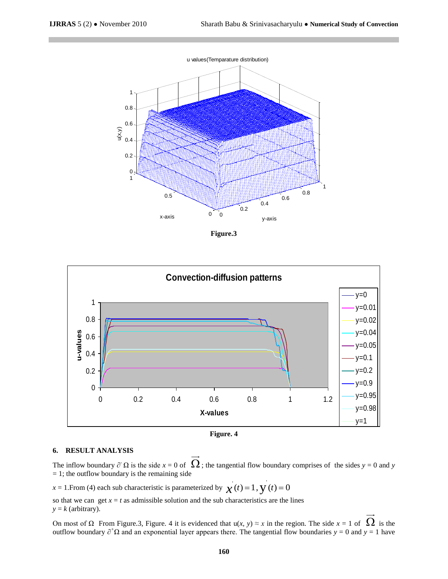

**Figure.3**



**Figure. 4**

#### **6. RESULT ANALYSIS**

The inflow boundary  $\partial^2 \Omega$  is the side  $x = 0$  of  $\Omega$ ; the tangential flow boundary comprises of the sides  $y = 0$  and  $y = 0$  $= 1$ ; the outflow boundary is the remaining side

 $x = 1$ . From (4) each sub characteristic is parameterized by  $\chi'(t) = 1$ ,  $\chi'(t) = 0$ 

so that we can get  $x = t$  as admissible solution and the sub characteristics are the lines  $y = k$  (arbitrary).

On most of Ω From Figure.3, Figure. 4 it is evidenced that  $u(x, y) \approx x$  in the region. The side  $x = 1$  of  $\Omega$  is the outflow boundary  $\partial^+\Omega$  and an exponential layer appears there. The tangential flow boundaries *y* = 0 and *y* = 1 have